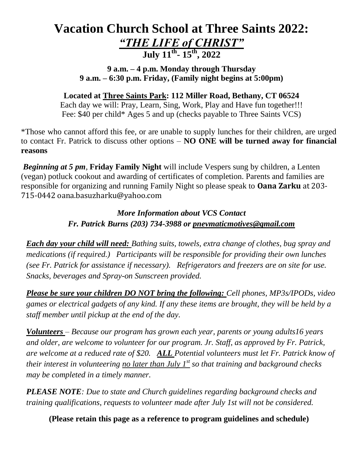# **Vacation Church School at Three Saints 2022:** *"THE LIFE of CHRIST"* **July 11 th - 15 th, 2022**

**9 a.m. – 4 p.m. Monday through Thursday 9 a.m. – 6:30 p.m. Friday, (Family night begins at 5:00pm)**

**Located at Three Saints Park: 112 Miller Road, Bethany, CT 06524**

Each day we will: Pray, Learn, Sing, Work, Play and Have fun together!!! Fee: \$40 per child\* Ages 5 and up (checks payable to Three Saints VCS)

\*Those who cannot afford this fee, or are unable to supply lunches for their children, are urged to contact Fr. Patrick to discuss other options – **NO ONE will be turned away for financial reasons**

*Beginning at 5 pm*, **Friday Family Night** will include Vespers sung by children, a Lenten (vegan) potluck cookout and awarding of certificates of completion. Parents and families are responsible for organizing and running Family Night so please speak to **Oana Zarku** at 203- 715-0442 oana.basuzharku@yahoo.com

# *More Information about VCS Contact Fr. Patrick Burns (203) 734-3988 or [pnevmaticmotives@gmail.com](mailto:pnevmaticmotives@gmail.com)*

*Each day your child will need: Bathing suits, towels, extra change of clothes, bug spray and medications (if required.) Participants will be responsible for providing their own lunches (see Fr. Patrick for assistance if necessary). Refrigerators and freezers are on site for use. Snacks, beverages and Spray-on Sunscreen provided.*

*Please be sure your children DO NOT bring the following: Cell phones, MP3s/IPODs, video games or electrical gadgets of any kind. If any these items are brought, they will be held by a staff member until pickup at the end of the day.*

*Volunteers – Because our program has grown each year, parents or young adults16 years and older, are welcome to volunteer for our program. Jr. Staff, as approved by Fr. Patrick, are welcome at a reduced rate of \$20. ALL Potential volunteers must let Fr. Patrick know of their interest in volunteering no later than July 1st so that training and background checks may be completed in a timely manner.* 

*PLEASE NOTE: Due to state and Church guidelines regarding background checks and training qualifications, requests to volunteer made after July 1st will not be considered.* 

**(Please retain this page as a reference to program guidelines and schedule)**